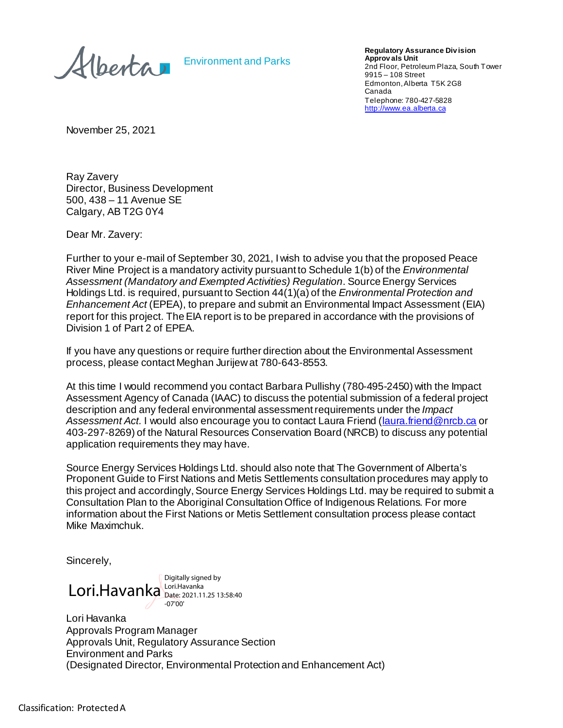Alberta

Environment and Parks

**Regulatory Assurance Div ision Approv als Unit** 2nd Floor, Petroleum Plaza, South Tower 9915 – 108 Street Edmonton, Alberta T5K 2G8 Canada Telephone: 780-427-5828 [http://www.ea.alberta.ca](http://www.ea.alberta.ca/)

November 25, 2021

Ray Zavery Director, Business Development 500, 438 – 11 Avenue SE Calgary, AB T2G 0Y4

Dear Mr. Zavery:

Further to your e-mail of September 30, 2021, I wish to advise you that the proposed Peace River Mine Project is a mandatory activity pursuant to Schedule 1(b) of the *Environmental Assessment (Mandatory and Exempted Activities) Regulation*. Source Energy Services Holdings Ltd. is required, pursuant to Section 44(1)(a) of the *Environmental Protection and Enhancement Act* (EPEA), to prepare and submit an Environmental Impact Assessment (EIA) report for this project. The EIA report is to be prepared in accordance with the provisions of Division 1 of Part 2 of EPEA.

If you have any questions or require further direction about the Environmental Assessment process, please contact Meghan Jurijewat 780-643-8553.

At this time I would recommend you contact Barbara Pullishy (780-495-2450) with the Impact Assessment Agency of Canada (IAAC) to discuss the potential submission of a federal project description and any federal environmental assessment requirements under the *Impact*  Assessment Act. I would also encourage you to contact Laura Friend [\(laura.friend@nrcb.ca](mailto:laura.friend@nrcb.ca) or 403-297-8269) of the Natural Resources Conservation Board (NRCB) to discuss any potential application requirements they may have.

Source Energy Services Holdings Ltd. should also note that The Government of Alberta's Proponent Guide to First Nations and Metis Settlements consultation procedures may apply to this project and accordingly, Source Energy Services Holdings Ltd. may be required to submit a Consultation Plan to the Aboriginal Consultation Office of Indigenous Relations. For more information about the First Nations or Metis Settlement consultation process please contact Mike Maximchuk.

Sincerely,

Lori.Havanka Lori.Havanka Digitally signed by Date: 2021.11.25 13:58:40 -07'00'

Lori Havanka Approvals Program Manager Approvals Unit, Regulatory Assurance Section Environment and Parks (Designated Director, Environmental Protection and Enhancement Act)